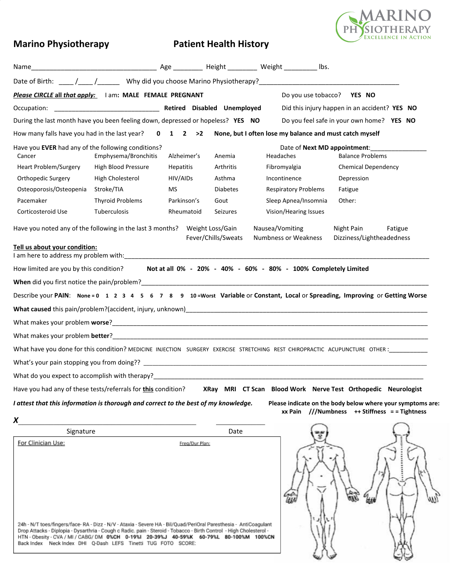

# **Marino Physiotherapy Patient Health History**

| Please CIRCLE all that apply: I am: MALE FEMALE PREGNANT                            |                         |                  |                                         | Do you use tobacco? YES NO                                                                                      |                                                                                                                                         |
|-------------------------------------------------------------------------------------|-------------------------|------------------|-----------------------------------------|-----------------------------------------------------------------------------------------------------------------|-----------------------------------------------------------------------------------------------------------------------------------------|
|                                                                                     |                         |                  |                                         |                                                                                                                 | Did this injury happen in an accident? YES NO                                                                                           |
| During the last month have you been feeling down, depressed or hopeless? YES NO     |                         |                  |                                         |                                                                                                                 | Do you feel safe in your own home? YES NO                                                                                               |
|                                                                                     |                         |                  |                                         | How many falls have you had in the last year? 0 1 2 > 2 None, but I often lose my balance and must catch myself |                                                                                                                                         |
| Have you EVER had any of the following conditions?                                  |                         |                  |                                         |                                                                                                                 | Date of <b>Next MD appointment</b> :                                                                                                    |
| Cancer                                                                              | Emphysema/Bronchitis    | Alzheimer's      | Anemia                                  | Headaches                                                                                                       | <b>Balance Problems</b>                                                                                                                 |
| <b>Heart Problem/Surgery</b>                                                        | High Blood Pressure     | <b>Hepatitis</b> | Arthritis                               | Fibromyalgia                                                                                                    | <b>Chemical Dependency</b>                                                                                                              |
| Orthopedic Surgery                                                                  | High Cholesterol        | HIV/AIDs         | Asthma                                  | Incontinence                                                                                                    | Depression                                                                                                                              |
| Osteoporosis/Osteopenia                                                             | Stroke/TIA              | MS.              | <b>Diabetes</b>                         | <b>Respiratory Problems</b>                                                                                     | Fatigue                                                                                                                                 |
| Pacemaker                                                                           | <b>Thyroid Problems</b> | Parkinson's      | Gout                                    | Sleep Apnea/Insomnia                                                                                            | Other:                                                                                                                                  |
| Corticosteroid Use                                                                  | Tuberculosis            | Rheumatoid       | <b>Seizures</b>                         | Vision/Hearing Issues                                                                                           |                                                                                                                                         |
| Have you noted any of the following in the last 3 months?                           |                         |                  | Weight Loss/Gain<br>Fever/Chills/Sweats | Nausea/Vomiting<br><b>Numbness or Weakness</b>                                                                  | Night Pain<br>Fatigue<br>Dizziness/Lightheadedness                                                                                      |
| Tell us about your condition:                                                       |                         |                  |                                         |                                                                                                                 |                                                                                                                                         |
| How limited are you by this condition?                                              |                         |                  |                                         | Not at all 0% - 20% - 40% - 60% - 80% - 100% Completely Limited                                                 |                                                                                                                                         |
|                                                                                     |                         |                  |                                         |                                                                                                                 |                                                                                                                                         |
|                                                                                     |                         |                  |                                         |                                                                                                                 | Describe your PAIN: None = 0 1 2 3 4 5 6 7 8 9 10 = Worst Variable or Constant, Local or Spreading, Improving or Getting Worse          |
|                                                                                     |                         |                  |                                         |                                                                                                                 |                                                                                                                                         |
|                                                                                     |                         |                  |                                         |                                                                                                                 |                                                                                                                                         |
|                                                                                     |                         |                  |                                         |                                                                                                                 |                                                                                                                                         |
|                                                                                     |                         |                  |                                         |                                                                                                                 | What have you done for this condition? MEDICINE INJECTION SURGERY EXERCISE STRETCHING REST CHIROPRACTIC ACUPUNCTURE OTHER: ____________ |
|                                                                                     |                         |                  |                                         |                                                                                                                 |                                                                                                                                         |
|                                                                                     |                         |                  |                                         | What do you expect to accomplish with therapy?<br>What do you expect to accomplish with therapy?                |                                                                                                                                         |
|                                                                                     |                         |                  |                                         |                                                                                                                 | Have you had any of these tests/referrals for this condition? XRay MRI CT Scan Blood Work Nerve Test Orthopedic Neurologist             |
| I attest that this information is thorough and correct to the best of my knowledge. |                         |                  |                                         |                                                                                                                 | Please indicate on the body below where your symptoms are:                                                                              |
|                                                                                     |                         |                  |                                         |                                                                                                                 | xx Pain $//$ Numbness ++ Stiffness = = Tightness                                                                                        |
| X                                                                                   |                         |                  |                                         |                                                                                                                 |                                                                                                                                         |
| Signature                                                                           |                         |                  | Date                                    |                                                                                                                 |                                                                                                                                         |
| For Clinician Use:                                                                  |                         | Freq/Dur Plan:   |                                         |                                                                                                                 |                                                                                                                                         |

24h - N/T toes/fingers/face-RA - Dizz - N/V - Ataxia - Severe HA - Bil/Quad/PeriOral Paresthesia - AntiCoagulant Drop Attacks - Diplopia - Dysarthria - Cough c Radic, pain - Steroid - Tobacco - Birth Control - High Cholesterol -<br>HTN - Obesity - CVA / MI / CABG/ DM 0%CH 0-19%I 20-39%J 40-59%K 60-79%L 80-100%M 100%CN<br>Back Index Neck In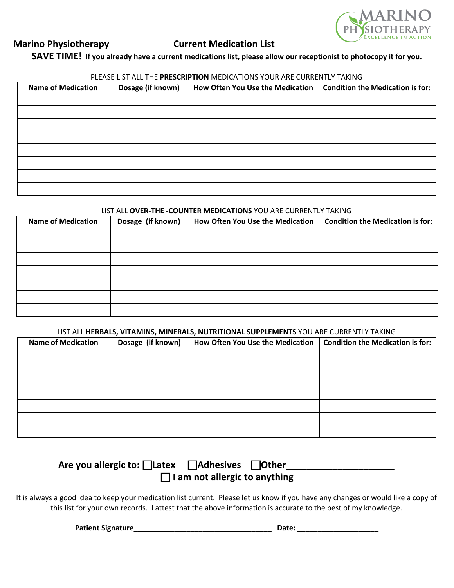

## **Marino Physiotherapy Current Medication List**

# SAVE TIME! If you already have a current medications list, please allow our receptionist to photocopy it for you.

#### PLEASE LIST ALL THE **PRESCRIPTION** MEDICATIONS YOUR ARE CURRENTLY TAKING

| <b>Name of Medication</b> | Dosage (if known) | How Often You Use the Medication | <b>Condition the Medication is for:</b> |
|---------------------------|-------------------|----------------------------------|-----------------------------------------|
|                           |                   |                                  |                                         |
|                           |                   |                                  |                                         |
|                           |                   |                                  |                                         |
|                           |                   |                                  |                                         |
|                           |                   |                                  |                                         |
|                           |                   |                                  |                                         |
|                           |                   |                                  |                                         |
|                           |                   |                                  |                                         |

## LIST ALL **OVER-THE -COUNTER MEDICATIONS** YOU ARE CURRENTLY TAKING

| <b>Name of Medication</b> | Dosage (if known) | How Often You Use the Medication | <b>Condition the Medication is for:</b> |
|---------------------------|-------------------|----------------------------------|-----------------------------------------|
|                           |                   |                                  |                                         |
|                           |                   |                                  |                                         |
|                           |                   |                                  |                                         |
|                           |                   |                                  |                                         |
|                           |                   |                                  |                                         |
|                           |                   |                                  |                                         |
|                           |                   |                                  |                                         |

### LIST ALL **HERBALS, VITAMINS, MINERALS, NUTRITIONAL SUPPLEMENTS** YOU ARE CURRENTLY TAKING

| <b>Name of Medication</b> | Dosage (if known) | How Often You Use the Medication | <b>Condition the Medication is for:</b> |
|---------------------------|-------------------|----------------------------------|-----------------------------------------|
|                           |                   |                                  |                                         |
|                           |                   |                                  |                                         |
|                           |                   |                                  |                                         |
|                           |                   |                                  |                                         |
|                           |                   |                                  |                                         |
|                           |                   |                                  |                                         |
|                           |                   |                                  |                                         |

| Are you allergic to: $\Box$ Latex    | □ Adhesives □ Other |  |  |  |  |  |
|--------------------------------------|---------------------|--|--|--|--|--|
| $\Box$ I am not allergic to anything |                     |  |  |  |  |  |

It is always a good idea to keep your medication list current. Please let us know if you have any changes or would like a copy of this list for your own records. I attest that the above information is accurate to the best of my knowledge.

**Patient Signature\_\_\_\_\_\_\_\_\_\_\_\_\_\_\_\_\_\_\_\_\_\_\_\_\_\_\_\_\_\_\_\_\_\_ Date: \_\_\_\_\_\_\_\_\_\_\_\_\_\_\_\_\_\_\_\_**